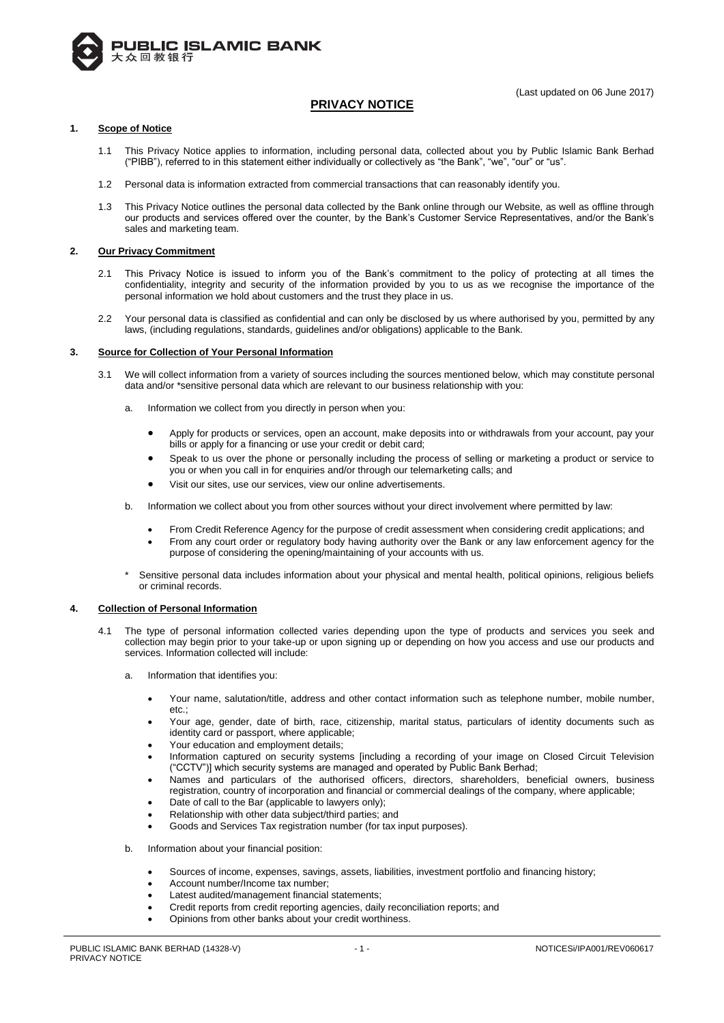

# **PRIVACY NOTICE**

# **1. Scope of Notice**

- 1.1 This Privacy Notice applies to information, including personal data, collected about you by Public Islamic Bank Berhad ("PIBB"), referred to in this statement either individually or collectively as "the Bank", "we", "our" or "us".
- 1.2 Personal data is information extracted from commercial transactions that can reasonably identify you.
- 1.3 This Privacy Notice outlines the personal data collected by the Bank online through our Website, as well as offline through our products and services offered over the counter, by the Bank's Customer Service Representatives, and/or the Bank's sales and marketing team.

# **2. Our Privacy Commitment**

- 2.1 This Privacy Notice is issued to inform you of the Bank's commitment to the policy of protecting at all times the confidentiality, integrity and security of the information provided by you to us as we recognise the importance of the personal information we hold about customers and the trust they place in us.
- 2.2 Your personal data is classified as confidential and can only be disclosed by us where authorised by you, permitted by any laws, (including regulations, standards, guidelines and/or obligations) applicable to the Bank.

# **3. Source for Collection of Your Personal Information**

- 3.1 We will collect information from a variety of sources including the sources mentioned below, which may constitute personal data and/or \*sensitive personal data which are relevant to our business relationship with you:
	- a. Information we collect from you directly in person when you:
		- Apply for products or services, open an account, make deposits into or withdrawals from your account, pay your bills or apply for a financing or use your credit or debit card;
		- Speak to us over the phone or personally including the process of selling or marketing a product or service to you or when you call in for enquiries and/or through our telemarketing calls; and
		- Visit our sites, use our services, view our online advertisements.
	- b. Information we collect about you from other sources without your direct involvement where permitted by law:
		- From Credit Reference Agency for the purpose of credit assessment when considering credit applications; and From any court order or regulatory body having authority over the Bank or any law enforcement agency for the purpose of considering the opening/maintaining of your accounts with us.
	- Sensitive personal data includes information about your physical and mental health, political opinions, religious beliefs or criminal records.

### **4. Collection of Personal Information**

- 4.1 The type of personal information collected varies depending upon the type of products and services you seek and collection may begin prior to your take-up or upon signing up or depending on how you access and use our products and services. Information collected will include:
	- a. Information that identifies you:
		- Your name, salutation/title, address and other contact information such as telephone number, mobile number, etc.;
		- Your age, gender, date of birth, race, citizenship, marital status, particulars of identity documents such as identity card or passport, where applicable;
		- Your education and employment details;
		- Information captured on security systems [including a recording of your image on Closed Circuit Television ("CCTV")] which security systems are managed and operated by Public Bank Berhad;
		- Names and particulars of the authorised officers, directors, shareholders, beneficial owners, business registration, country of incorporation and financial or commercial dealings of the company, where applicable;
		- Date of call to the Bar (applicable to lawyers only);
		- Relationship with other data subject/third parties; and
		- Goods and Services Tax registration number (for tax input purposes).
	- b. Information about your financial position:
		- Sources of income, expenses, savings, assets, liabilities, investment portfolio and financing history;
		- Account number/Income tax number;
		- Latest audited/management financial statements;
		- Credit reports from credit reporting agencies, daily reconciliation reports; and
		- Opinions from other banks about your credit worthiness.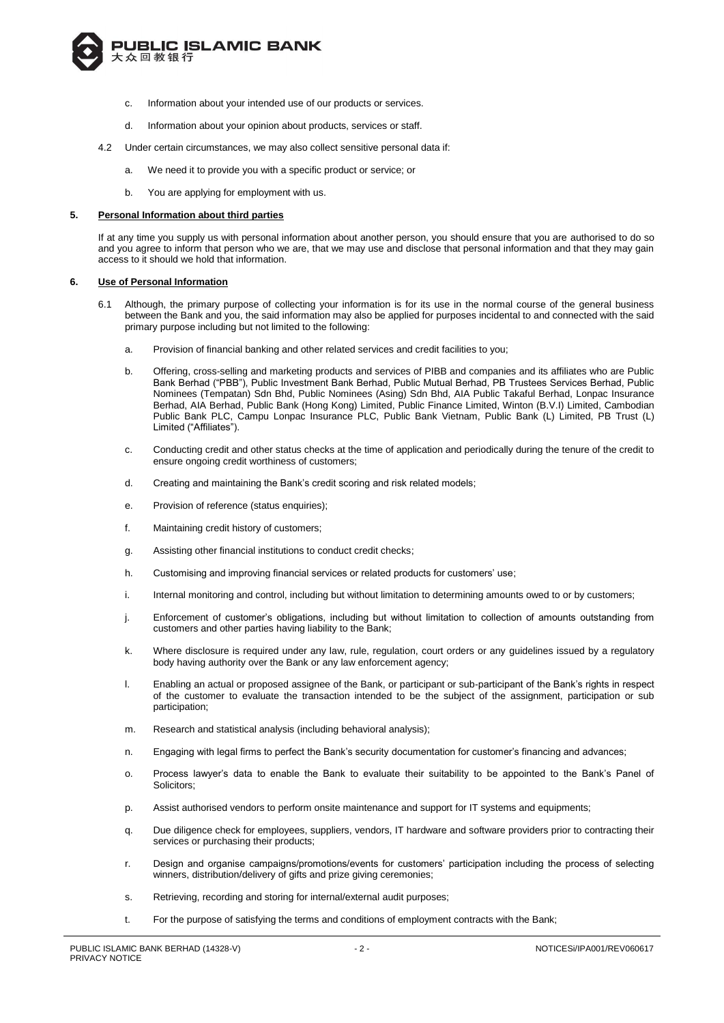

- c. Information about your intended use of our products or services.
- d. Information about your opinion about products, services or staff.
- 4.2 Under certain circumstances, we may also collect sensitive personal data if:
	- a. We need it to provide you with a specific product or service; or
	- b. You are applying for employment with us.

#### **5. Personal Information about third parties**

If at any time you supply us with personal information about another person, you should ensure that you are authorised to do so and you agree to inform that person who we are, that we may use and disclose that personal information and that they may gain access to it should we hold that information.

#### **6. Use of Personal Information**

- 6.1 Although, the primary purpose of collecting your information is for its use in the normal course of the general business between the Bank and you, the said information may also be applied for purposes incidental to and connected with the said primary purpose including but not limited to the following:
	- a. Provision of financial banking and other related services and credit facilities to you;
	- b. Offering, cross-selling and marketing products and services of PIBB and companies and its affiliates who are Public Bank Berhad ("PBB"), Public Investment Bank Berhad, Public Mutual Berhad, PB Trustees Services Berhad, Public Nominees (Tempatan) Sdn Bhd, Public Nominees (Asing) Sdn Bhd, AIA Public Takaful Berhad, Lonpac Insurance Berhad, AIA Berhad, Public Bank (Hong Kong) Limited, Public Finance Limited, Winton (B.V.I) Limited, Cambodian Public Bank PLC, Campu Lonpac Insurance PLC, Public Bank Vietnam, Public Bank (L) Limited, PB Trust (L) Limited ("Affiliates").
	- c. Conducting credit and other status checks at the time of application and periodically during the tenure of the credit to ensure ongoing credit worthiness of customers;
	- d. Creating and maintaining the Bank's credit scoring and risk related models;
	- e. Provision of reference (status enquiries);
	- f. Maintaining credit history of customers;
	- g. Assisting other financial institutions to conduct credit checks;
	- h. Customising and improving financial services or related products for customers' use;
	- i. Internal monitoring and control, including but without limitation to determining amounts owed to or by customers;
	- j. Enforcement of customer's obligations, including but without limitation to collection of amounts outstanding from customers and other parties having liability to the Bank;
	- k. Where disclosure is required under any law, rule, regulation, court orders or any guidelines issued by a regulatory body having authority over the Bank or any law enforcement agency;
	- l. Enabling an actual or proposed assignee of the Bank, or participant or sub-participant of the Bank's rights in respect of the customer to evaluate the transaction intended to be the subject of the assignment, participation or sub participation;
	- m. Research and statistical analysis (including behavioral analysis);
	- n. Engaging with legal firms to perfect the Bank's security documentation for customer's financing and advances;
	- o. Process lawyer's data to enable the Bank to evaluate their suitability to be appointed to the Bank's Panel of Solicitors;
	- p. Assist authorised vendors to perform onsite maintenance and support for IT systems and equipments;
	- q. Due diligence check for employees, suppliers, vendors, IT hardware and software providers prior to contracting their services or purchasing their products;
	- r. Design and organise campaigns/promotions/events for customers' participation including the process of selecting winners, distribution/delivery of gifts and prize giving ceremonies;
	- s. Retrieving, recording and storing for internal/external audit purposes;
	- t. For the purpose of satisfying the terms and conditions of employment contracts with the Bank;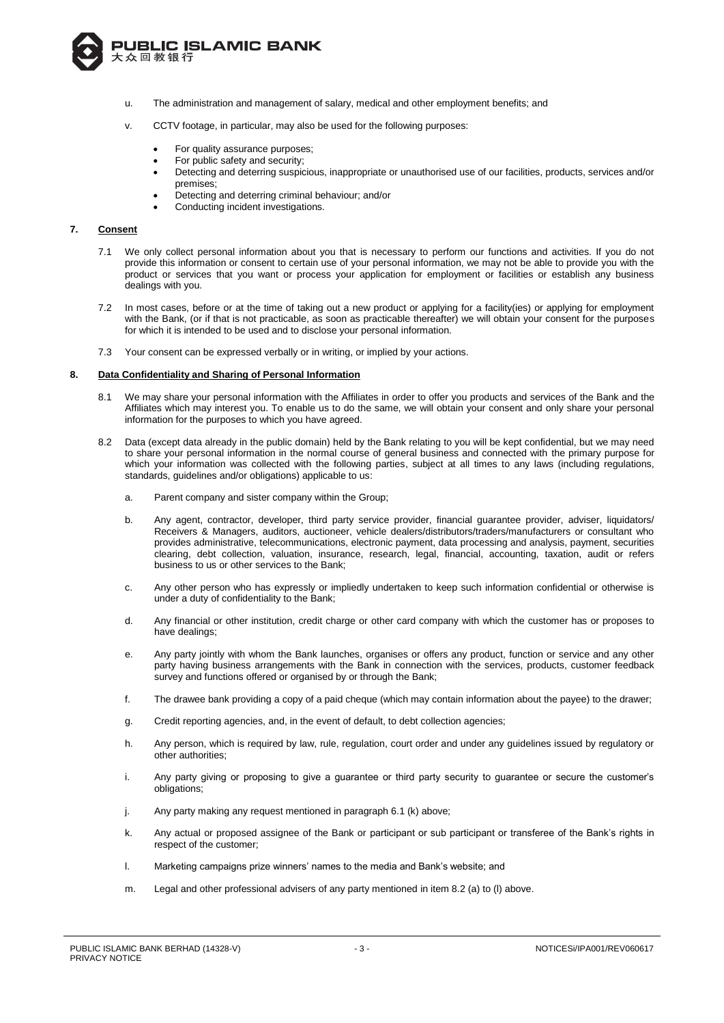

- u. The administration and management of salary, medical and other employment benefits; and
- v. CCTV footage, in particular, may also be used for the following purposes:
	- For quality assurance purposes;
	- For public safety and security;
	- Detecting and deterring suspicious, inappropriate or unauthorised use of our facilities, products, services and/or premises;
	- Detecting and deterring criminal behaviour; and/or
	- Conducting incident investigations.

# **7. Consent**

- 7.1 We only collect personal information about you that is necessary to perform our functions and activities. If you do not provide this information or consent to certain use of your personal information, we may not be able to provide you with the product or services that you want or process your application for employment or facilities or establish any business dealings with you.
- 7.2 In most cases, before or at the time of taking out a new product or applying for a facility(ies) or applying for employment with the Bank, (or if that is not practicable, as soon as practicable thereafter) we will obtain your consent for the purposes for which it is intended to be used and to disclose your personal information.
- 7.3 Your consent can be expressed verbally or in writing, or implied by your actions.

#### **8. Data Confidentiality and Sharing of Personal Information**

- 8.1 We may share your personal information with the Affiliates in order to offer you products and services of the Bank and the Affiliates which may interest you. To enable us to do the same, we will obtain your consent and only share your personal information for the purposes to which you have agreed.
- 8.2 Data (except data already in the public domain) held by the Bank relating to you will be kept confidential, but we may need to share your personal information in the normal course of general business and connected with the primary purpose for which your information was collected with the following parties, subject at all times to any laws (including regulations, standards, guidelines and/or obligations) applicable to us:
	- a. Parent company and sister company within the Group;
	- b. Any agent, contractor, developer, third party service provider, financial guarantee provider, adviser, liquidators/ Receivers & Managers, auditors, auctioneer, vehicle dealers/distributors/traders/manufacturers or consultant who provides administrative, telecommunications, electronic payment, data processing and analysis, payment, securities clearing, debt collection, valuation, insurance, research, legal, financial, accounting, taxation, audit or refers business to us or other services to the Bank;
	- c. Any other person who has expressly or impliedly undertaken to keep such information confidential or otherwise is under a duty of confidentiality to the Bank;
	- d. Any financial or other institution, credit charge or other card company with which the customer has or proposes to have dealings;
	- e. Any party jointly with whom the Bank launches, organises or offers any product, function or service and any other party having business arrangements with the Bank in connection with the services, products, customer feedback survey and functions offered or organised by or through the Bank;
	- f. The drawee bank providing a copy of a paid cheque (which may contain information about the payee) to the drawer;
	- g. Credit reporting agencies, and, in the event of default, to debt collection agencies;
	- h. Any person, which is required by law, rule, regulation, court order and under any guidelines issued by regulatory or other authorities;
	- i. Any party giving or proposing to give a guarantee or third party security to guarantee or secure the customer's obligations;
	- j. Any party making any request mentioned in paragraph 6.1 (k) above;
	- k. Any actual or proposed assignee of the Bank or participant or sub participant or transferee of the Bank's rights in respect of the customer;
	- l. Marketing campaigns prize winners' names to the media and Bank's website; and
	- m. Legal and other professional advisers of any party mentioned in item 8.2 (a) to (l) above.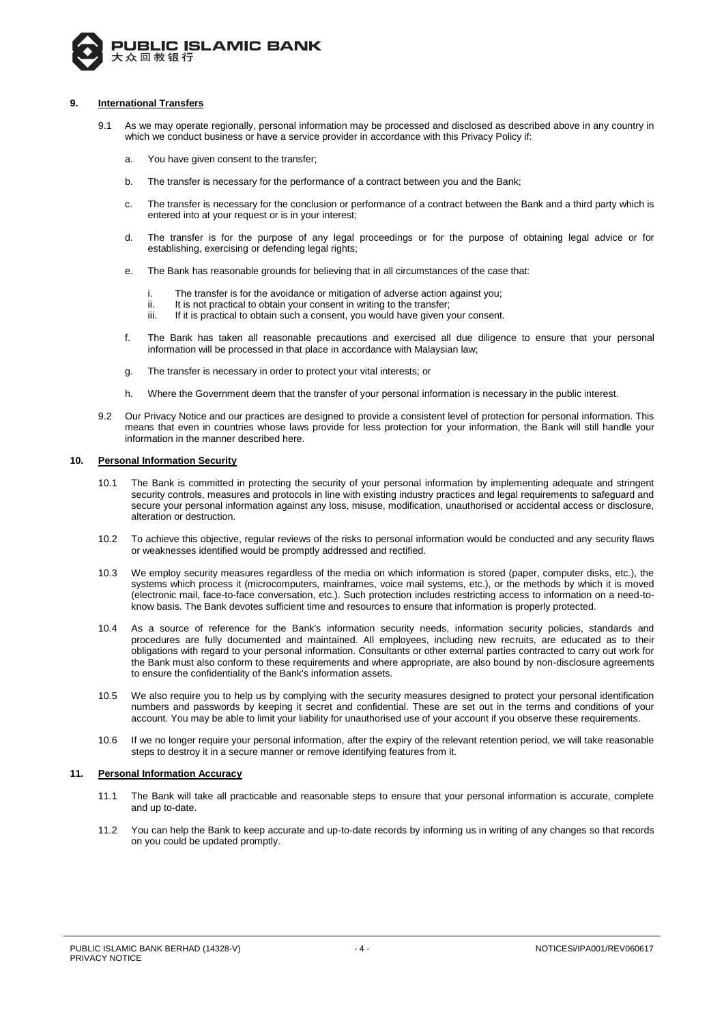

# **9. International Transfers**

- 9.1 As we may operate regionally, personal information may be processed and disclosed as described above in any country in which we conduct business or have a service provider in accordance with this Privacy Policy if:
	- a. You have given consent to the transfer;
	- b. The transfer is necessary for the performance of a contract between you and the Bank;
	- c. The transfer is necessary for the conclusion or performance of a contract between the Bank and a third party which is entered into at your request or is in your interest;
	- d. The transfer is for the purpose of any legal proceedings or for the purpose of obtaining legal advice or for establishing, exercising or defending legal rights;
	- e. The Bank has reasonable grounds for believing that in all circumstances of the case that:
		- i. The transfer is for the avoidance or mitigation of adverse action against you;
		- ii. It is not practical to obtain your consent in writing to the transfer;
		- iii. If it is practical to obtain such a consent, you would have given your consent.
	- f. The Bank has taken all reasonable precautions and exercised all due diligence to ensure that your personal information will be processed in that place in accordance with Malaysian law;
	- g. The transfer is necessary in order to protect your vital interests; or
	- h. Where the Government deem that the transfer of your personal information is necessary in the public interest.
- 9.2 Our Privacy Notice and our practices are designed to provide a consistent level of protection for personal information. This means that even in countries whose laws provide for less protection for your information, the Bank will still handle your information in the manner described here.

#### **10. Personal Information Security**

- 10.1 The Bank is committed in protecting the security of your personal information by implementing adequate and stringent security controls, measures and protocols in line with existing industry practices and legal requirements to safeguard and secure your personal information against any loss, misuse, modification, unauthorised or accidental access or disclosure, alteration or destruction.
- 10.2 To achieve this objective, regular reviews of the risks to personal information would be conducted and any security flaws or weaknesses identified would be promptly addressed and rectified.
- 10.3 We employ security measures regardless of the media on which information is stored (paper, computer disks, etc.), the systems which process it (microcomputers, mainframes, voice mail systems, etc.), or the methods by which it is moved (electronic mail, face-to-face conversation, etc.). Such protection includes restricting access to information on a need-toknow basis. The Bank devotes sufficient time and resources to ensure that information is properly protected.
- 10.4 As a source of reference for the Bank's information security needs, information security policies, standards and procedures are fully documented and maintained. All employees, including new recruits, are educated as to their obligations with regard to your personal information. Consultants or other external parties contracted to carry out work for the Bank must also conform to these requirements and where appropriate, are also bound by non-disclosure agreements to ensure the confidentiality of the Bank's information assets.
- 10.5 We also require you to help us by complying with the security measures designed to protect your personal identification numbers and passwords by keeping it secret and confidential. These are set out in the terms and conditions of your account. You may be able to limit your liability for unauthorised use of your account if you observe these requirements.
- 10.6 If we no longer require your personal information, after the expiry of the relevant retention period, we will take reasonable steps to destroy it in a secure manner or remove identifying features from it.

### **11. Personal Information Accuracy**

- 11.1 The Bank will take all practicable and reasonable steps to ensure that your personal information is accurate, complete and up to-date.
- 11.2 You can help the Bank to keep accurate and up-to-date records by informing us in writing of any changes so that records on you could be updated promptly.